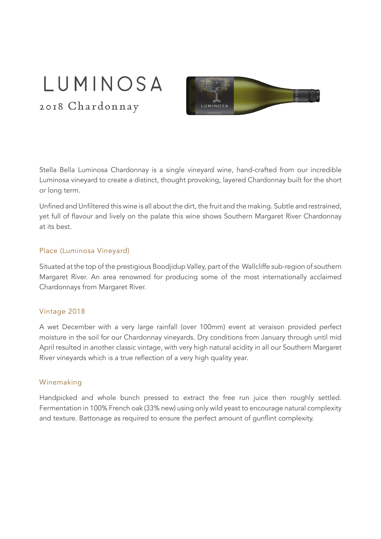# LUMINOSA

2018 Chardonnay



Stella Bella Luminosa Chardonnay is a single vineyard wine, hand-crafted from our incredible Luminosa vineyard to create a distinct, thought provoking, layered Chardonnay built for the short or long term.

Unfined and Unfiltered this wine is all about the dirt, the fruit and the making. Subtle and restrained, yet full of flavour and lively on the palate this wine shows Southern Margaret River Chardonnay at its best.

#### Place (Luminosa Vineyard)

Situated at the top of the prestigious Boodjidup Valley, part of the Wallcliffe sub-region of southern Margaret River. An area renowned for producing some of the most internationally acclaimed Chardonnays from Margaret River.

### Vintage 2018

A wet December with a very large rainfall (over 100mm) event at veraison provided perfect moisture in the soil for our Chardonnay vineyards. Dry conditions from January through until mid April resulted in another classic vintage, with very high natural acidity in all our Southern Margaret River vineyards which is a true reflection of a very high quality year.

#### Winemaking

Handpicked and whole bunch pressed to extract the free run juice then roughly settled. Fermentation in 100% French oak (33% new) using only wild yeast to encourage natural complexity and texture. Battonage as required to ensure the perfect amount of gunflint complexity.